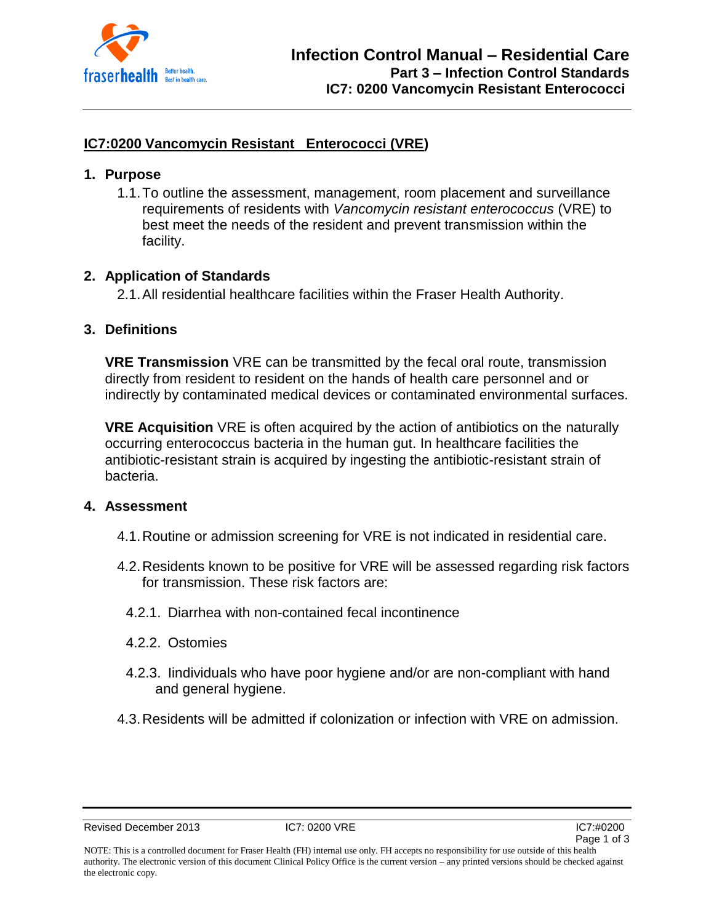

## **IC7:0200 Vancomycin Resistant Enterococci (VRE)**

### **1. Purpose**

1.1.To outline the assessment, management, room placement and surveillance requirements of residents with *Vancomycin resistant enterococcus* (VRE) to best meet the needs of the resident and prevent transmission within the facility.

## **2. Application of Standards**

2.1.All residential healthcare facilities within the Fraser Health Authority.

### **3. Definitions**

**VRE Transmission** VRE can be transmitted by the fecal oral route, transmission directly from resident to resident on the hands of health care personnel and or indirectly by contaminated medical devices or contaminated environmental surfaces.

**VRE Acquisition** VRE is often acquired by the action of antibiotics on the naturally occurring enterococcus bacteria in the human gut. In healthcare facilities the antibiotic-resistant strain is acquired by ingesting the antibiotic-resistant strain of bacteria.

#### **4. Assessment**

- 4.1.Routine or admission screening for VRE is not indicated in residential care.
- 4.2.Residents known to be positive for VRE will be assessed regarding risk factors for transmission. These risk factors are:
	- 4.2.1. Diarrhea with non-contained fecal incontinence
	- 4.2.2. Ostomies
	- 4.2.3. Iindividuals who have poor hygiene and/or are non-compliant with hand and general hygiene.
- 4.3.Residents will be admitted if colonization or infection with VRE on admission.

Revised December 2013 **IC7: 0200 VRE IC7: 0200 VRE IC7:#0200**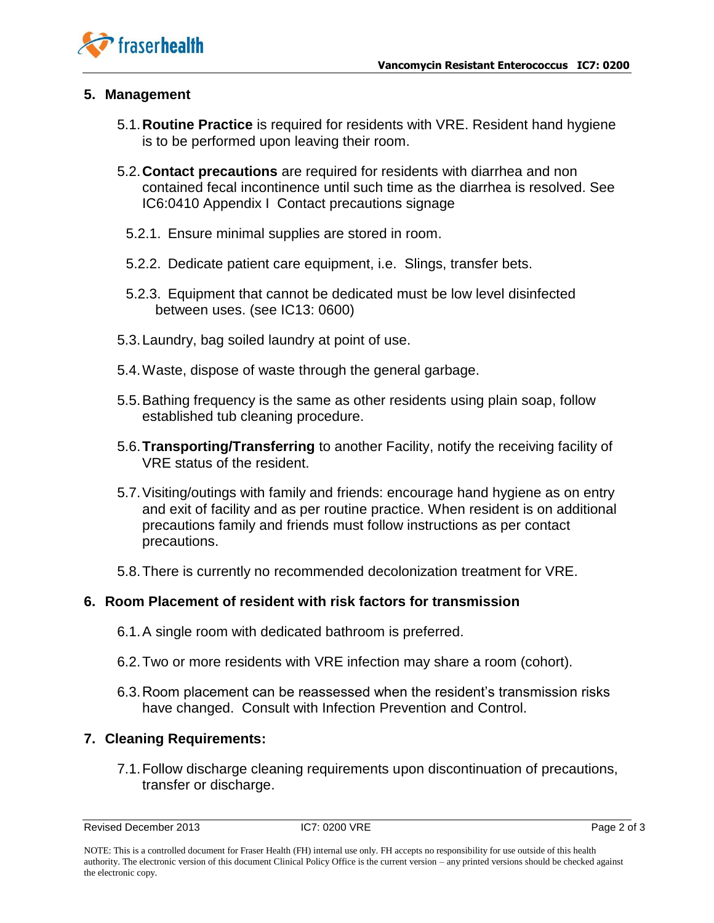

### **5. Management**

- 5.1.**Routine Practice** is required for residents with VRE. Resident hand hygiene is to be performed upon leaving their room.
- 5.2.**Contact precautions** are required for residents with diarrhea and non contained fecal incontinence until such time as the diarrhea is resolved. See IC6:0410 Appendix I Contact precautions signage
	- 5.2.1. Ensure minimal supplies are stored in room.
	- 5.2.2. Dedicate patient care equipment, i.e. Slings, transfer bets.
	- 5.2.3. Equipment that cannot be dedicated must be low level disinfected between uses. (see IC13: 0600)
- 5.3.Laundry, bag soiled laundry at point of use.
- 5.4.Waste, dispose of waste through the general garbage.
- 5.5.Bathing frequency is the same as other residents using plain soap, follow established tub cleaning procedure.
- 5.6.**Transporting/Transferring** to another Facility, notify the receiving facility of VRE status of the resident.
- 5.7.Visiting/outings with family and friends: encourage hand hygiene as on entry and exit of facility and as per routine practice. When resident is on additional precautions family and friends must follow instructions as per contact precautions.
- 5.8.There is currently no recommended decolonization treatment for VRE.

## **6. Room Placement of resident with risk factors for transmission**

- 6.1.A single room with dedicated bathroom is preferred.
- 6.2.Two or more residents with VRE infection may share a room (cohort).
- 6.3.Room placement can be reassessed when the resident's transmission risks have changed. Consult with Infection Prevention and Control.

## **7. Cleaning Requirements:**

7.1.Follow discharge cleaning requirements upon discontinuation of precautions, transfer or discharge.

Revised December 2013 **IC7: 0200 VRE IC7: 0200 VRE** Page 2 of 3

NOTE: This is a controlled document for Fraser Health (FH) internal use only. FH accepts no responsibility for use outside of this health authority. The electronic version of this document Clinical Policy Office is the current version – any printed versions should be checked against the electronic copy.